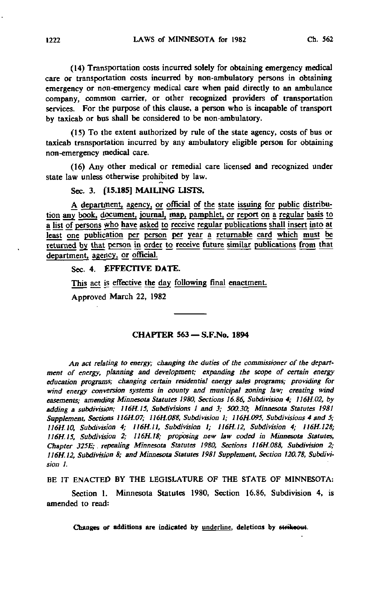(14) Transportation costs incurred solely for obtaining emergency medical care or transportation costs incurred by non-ambulatory persons in obtaining emergency or non-emergency medical care when paid directly to an ambulance company, common carrier, or other recognized providers of transportation services. For the purpose of this clause, a person who is incapable of transport by taxicab or bus shall be considered to be non-ambulatory.

(15) To the extent authorized by rule of the state agency, costs of bus or taxicab transportation incurred by any ambulatory eligible person for obtaining non-emergency medical care.

(16) Any other medical or remedial care licensed and recognized under state law unless otherwise prohibited by law.

Sec. 3. [15.185] MAILING LISTS.

A department, agency, or official of the state issuing for public distribution any book, document, journal, map, pamphlet, or report on a regular basis to a list of persons who have asked to receive regular publications shall insert into at least one publication per person per year a returnable card which must be returned by that person in order to receive future similar publications from that department, agency, or official.

Sec. 4. EFFECTIVE DATE.

This act is effective the day following final enactment.

Approved March 22, 1982

#### CHAPTER 563 - S.F.No. 1894

An act relating to energy; changing the duties of the commissioner of the department of energy, planning and development; expanding the scope of certain energy education programs; changing certain residential energy sales programs; providing for wind energy conversion systems in county and municipal zoning law; creating wind easements; amending Minnesota Statutes 1980, Sections 16.86, Subdivision 4; 116H.02, by adding a subdivision; 1I6H.15, Subdivisions I and 3; 500.30; Minnesota Statutes 1981 Supplement, Sections 116H.07; 116H.088, Subdivision 1; 116H.095, Subdivisions 4 and 5; 116H.10, Subdivision 4; 116H.II, Subdivision 1; 116H.12, Subdivision 4; 116H.128; 116H.I5, Subdivision 2; 1I6H.I8; proposing new law coded in Minnesota Statutes, Chapter 325E; repealing Minnesota Statutes 1980, Sections 116H.088, Subdivision 2; 116H.12, Subdivision 8; and Minnesota Statutes 1981 Supplement, Section 120.78, Subdivision I.

BE IT ENACTED BY THE LEGISLATURE OF THE STATE OF MINNESOTA:

Section 1. Minnesota Statutes 1980, Section 16.86, Subdivision 4, is amended to read: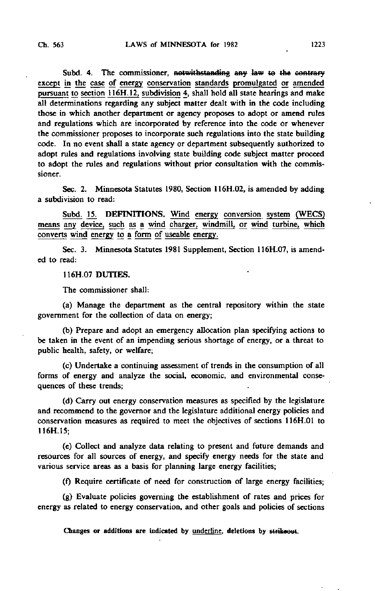Subd. 4. The commissioner, notwithstanding any law to the contrary except in the case of energy conservation standards promulgated or amended pursuant to section 116H.12, subdivision 4, shall hold all state hearings and make all determinations regarding any subject matter dealt with in the code including those in which another department or agency proposes to adopt or amend rules and regulations which are incorporated by reference into the code or whenever the commissioner proposes to incorporate such regulations into the state building code. In no event shall a state agency or department subsequently authorized to adopt rules and regulations involving state building code subject matter proceed to adopt the rules and regulations without prior consultation with the commissioner.

Sec. 2. Minnesota Statutes 1980, Section 116H.02, is amended by adding a subdivision to read:

Subd. 15. DEFINITIONS. Wind energy conversion system (WECS) means any device, such as a wind charger, windmill, or wind turbine, which converts wind energy to a form of useable energy.

Sec. 3. Minnesota Statutes 1981 Supplement, Section 116H.07, is amended to read:

116H.07 DUTIES.

The commissioner shall:

(a) Manage the department as the central repository within the state government for the collection of data on energy;

(b) Prepare and adopt an emergency allocation plan specifying actions to be taken in the event of an impending serious shortage of energy, or a threat to public health, safety, or welfare;

(c) Undertake a continuing assessment of trends in the consumption of all forms of energy and analyze the social, economic, and environmental consequences of these trends;

(d) Carry out energy conservation measures as specified by the legislature and recommend to the governor and the legislature additional energy policies and conservation measures as required to meet the objectives of sections 116H.01 to 116H.I5;

(e) Collect and analyze data relating to present and future demands and resources for all sources of energy, and specify energy needs for the state and various service areas as a basis for planning large energy facilities;

(f) Require certificate of need for construction of large energy facilities;

(g) Evaluate policies governing the establishment of rates and prices for energy as related to energy conservation, and other goals and policies of sections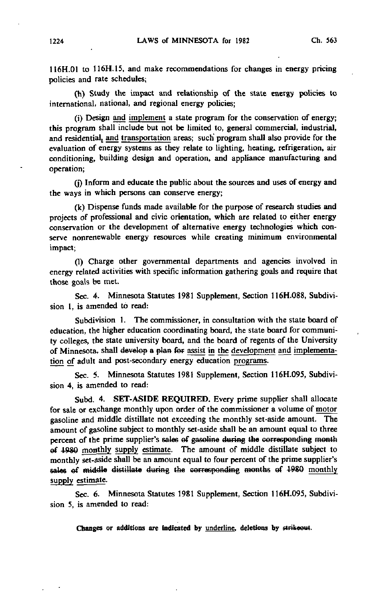116H.01 to 116H.15, and make recommendations for changes in energy pricing policies and rate schedules;

(h) Study the impact and relationship of the state energy policies to international, national, and regional energy policies;

(i) Design and implement a state program for the conservation of energy; this program shall include but not be limited to, general commercial, industrial, and residential, and transportation areas; such program shall also provide for the evaluation of energy systems as they relate to lighting, heating, refrigeration, air conditioning, building design and operation, and appliance manufacturing and operation;

(j) Inform and educate the public about the sources and uses of energy and the ways in which persons can conserve energy;

(k) Dispense funds made available for the purpose of research studies and projects of professional and civic orientation, which are related to either energy conservation or the development of alternative energy technologies which conserve nonreriewable energy resources while creating minimum environmental impact;

(1) Charge other governmental departments and agencies involved in energy related activities with specific information gathering goals and require that those goals be met.

Sec. 4. Minnesota Statutes 1981 Supplement, Section 116H.088, Subdivision 1, is amended to read:

Subdivision 1. The commissioner, in consultation with the state board of education, the higher education coordinating board, the state board for community colleges, the state university board, and the board of regents of the University of Minnesota, shall develop a plan fef assist in the development and implementation of adult and post-secondary energy education programs.

Sec. 5. Minnesota Statutes 1981 Supplement, Section 116H.095, Subdivision 4, is amended to read:

Subd. 4. SET-ASIDE REQUIRED. Every prime supplier shall allocate for sale or exchange monthly upon order of the commissioner a volume of motor gasoline and middle distillate not exceeding the monthly set-aside amount. The amount of gasoline subject to monthly set-aside shall be an amount equal to three percent of the prime supplier's sales of gasoline during the corresponding month of 4980 monthly supply estimate. The amount of middle distillate subject to monthly set-aside shall be an amount equal to four percent of the prime supplier's sales of middle distillate during the corresponding months of 1980 monthly supply estimate.

Sec. 6. Minnesota Statutes 1981 Supplement, Section 116H.095, Subdivision 5, is amended to read: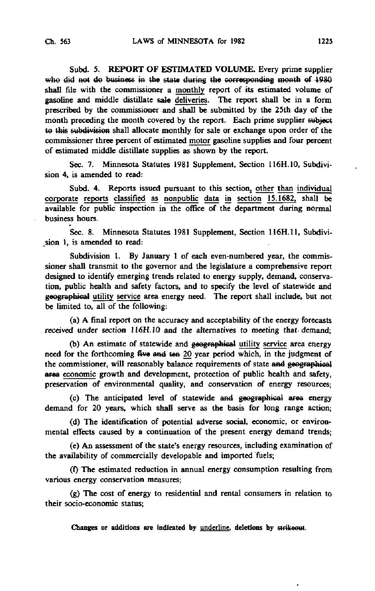Subd. 5. REPORT OF ESTIMATED VOLUME. Every prime supplier who did not do business in the state during the corresponding month of 1980 shall file with the commissioner a monthly report of its estimated volume of gasoline and middle distillate sale deliveries. The report shall be in a form prescribed by the commissioner and shall be submitted by the 25th day of the month preceding the month covered by the report. Each prime supplier subject to this subdivision shall allocate monthly for sale or exchange upon order of the commissioner three percent of estimated motor gasoline supplies and four percent of estimated middle distillate supplies as shown by the report.

Sec. 7. Minnesota Statutes 1981 Supplement, Section 116H.10, Subdivision 4, is amended to read:

Subd. 4. Reports issued pursuant to this section, other than individual corporate reports classified as nonpublic data in section 15.1682, shall be available for public inspection in the office of the department during normal business hours.

Sec. 8. Minnesota Statutes 1981 Supplement, Section 116H.11, Subdivi sion 1, is amended to read:

Subdivision 1. By January 1 of each even-numbered year, the commissioner shall transmit to the governor and the legislature a comprehensive report designed to identify emerging trends related to energy supply, demand, conservation, public health and safety factors, and to specify the level of statewide and geographical utility service area energy need. The report shall include, but not be limited to, all of the following:

(a) A final report on the accuracy and acceptability of the energy forecasts received under section 116H.10 and the alternatives to meeting that, demand;

(b) An estimate of statewide and geographical utility service area energy need for the forthcoming five and ten 20 year period which, in the judgment of the commissioner, will reasonably balance requirements of state and geographical area economic growth and development, protection of public health and safety, preservation of environmental quality, and conservation of energy resources;

(c) The anticipated level of statewide and geographical area energy demand for 20 years, which shall serve as the basis for long range action;

(d) The identification of potential adverse social, economic, or environmental effects caused by a continuation of the present energy demand trends;

(e) An assessment of the state's energy resources, including examination of the availability of commercially developable and imported fuels;

(0 The estimated reduction in annual energy consumption resulting from various energy conservation measures;

(g) The cost of energy to residential and rental consumers in relation to their socio-economic status;

Changes or additions are indicated by underline, deletions by strikeout.

 $\cdot$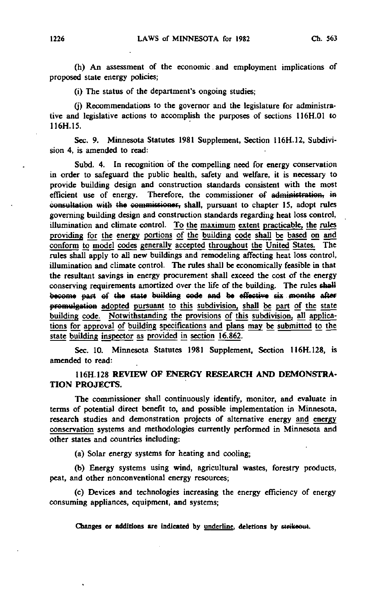(h) An assessment of the economic and employment implications of proposed state energy policies;

(i) The status of the department's ongoing studies;

(j) Recommendations to the governor and the legislature for administrative and legislative actions to accomplish the purposes of sections 116H.01 to 116H.15.

Sec. 9. Minnesota Statutes 1981 Supplement, Section 116H.12, Subdivision 4, is amended to read:

Subd. 4. In recognition of the compelling need for energy conservation in order to safeguard the public health, safety and welfare, it is necessary to provide building design and construction standards consistent with the most efficient use of energy. Therefore, the commissioner of administration, in consultation with the commissioner, shall, pursuant to chapter 15, adopt rules governing building design and construction standards regarding heat loss control, illumination and climate control. To the maximum extent practicable, the rules providing for the energy portions of the building code shall be based on arid conform to model codes generally accepted throughout the United States. The rules shall apply to all new buildings and remodeling affecting heat loss control, illumination and climate control. The rules shall be economically feasible in that the resultant savings in energy procurement shall exceed the cost of the energy conserving requirements amortized over the life of the building. The rules shall become part of the state building code and be effective six months after promulgation adopted pursuant to this subdivision, shall be part of the state building code. Notwithstanding the provisions of this subdivision, all applications for approval of building specifications and plans may be submitted to the state building inspector as provided in section 16.862.

Sec. 10. Minnesota Statutes 1981 Supplement, Section 116H.128, is amended to read:

# 116H.128 REVIEW OF ENERGY RESEARCH AND DEMONSTRA-TION PROJECTS.

The commissioner shall continuously identify, monitor, and evaluate in terms of potential direct benefit to, and possible implementation in Minnesota, research studies and demonstration projects of alternative energy and energy conservation systems and methodologies currently performed in Minnesota and other states and countries including:

(a) Solar energy systems for heating and cooling;

(b) Energy systems using wind, agricultural wastes, forestry products, peat, and other nonconventional energy resources;

(c) Devices and technologies increasing the energy efficiency of energy consuming appliances, equipment, and systems;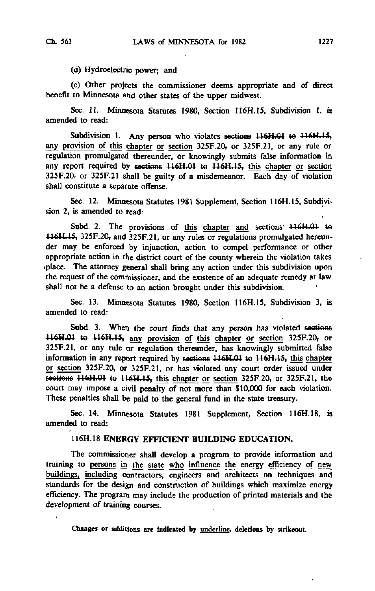(d) Hydroelectric power; and

(e) Other projects the commissioner deems appropriate and of direct benefit to Minnesota and other states of the upper midwest.

Sec. 11. Minnesota Statutes 1980, Section 116H.15, Subdivision 1, is amended to read:

Subdivision 1. Any person who violates sections 116H.01 to 116H.15, any provision of this chapter or section 325F.20, or 325F.21, or any rule or regulation promulgated thereunder, or knowingly submits false information in any report required by sections 116H.01 to 116H.15, this chapter or section 325F.20, or 325F.21 shall be guilty of a misdemeanor. Each day of violation shall constitute a separate offense.

Sec. 12. Minnesota Statutes 1981 Supplement, Section 116H.15, Subdivision 2, is amended to read:

Subd. 2. The provisions of this chapter and sections  $\mu$ 16H.01 to 116H<sub>1</sub>15, 325F.20, and 325F.21, or any rules or regulations promulgated hereunder may be enforced by injunction, action to compel performance or other appropriate action in the district court of the county wherein the violation takes •place. The attorney general shall bring any action under this subdivision upon the request of the commissioner, and the existence of an adequate remedy at law shall not be a defense to an action brought under this subdivision.

Sec. 13. Minnesota Statutes 1980, Section 116H.15, Subdivision 3, is amended to read:

Subd. 3. When the court finds that any person has violated sections 116H.01 to 116H.15, any provision of this chapter or section 325F.20, or 325F.21, or any rule or regulation thereunder, has knowingly submitted false information in any report required by sections 116H.01 te 116H.1S, this chapter or section 325F.20, or 325F.21, or has violated any court order issued under sections  $116H.01$  to  $116H.15$ , this chapter or section 325F.20, or 325F.21, the court may impose a civil penalty of not more than \$10,000 for each violation. These penalties shall be paid to the general fund in the state treasury.

Sec. 14. Minnesota Statutes 1981 Supplement, Section 116H.18, is amended to read:

## 116H.18 ENERGY EFFICIENT BUILDING EDUCATION.

The commissioner shall develop a program to provide information and training to persons in the state who influence the energy efficiency of new buildings, including contractors, engineers and architects on techniques and standards for the design and construction of buildings which maximize energy efficiency. The program may include the production of printed materials and the development of training courses.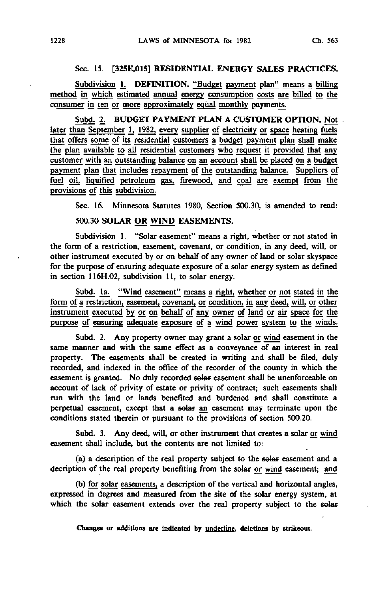#### Sec. 15. [325E.015] RESIDENTIAL ENERGY SALES PRACTICES.

Subdivision 1. DEFINITION. "Budget payment plan" means a billing method in which estimated annual energy consumption costs are billed to the consumer in ten or more approximately equal monthly payments.

Subd. 2. BUDGET PAYMENT PLAN A CUSTOMER OPTION. Not. later than September 1, 1982, every supplier of electricity or space heating fuels that offers some of its residential customers a budget payment plan shall make the plan available to all residential customers who request it provided that any customer with an outstanding balance on an account shall be placed on a budget payment plan that includes repayment of the outstanding balance. Suppliers of fuel oil, liquified petroleum gas, firewood, and coal are exempt from the provisions of this subdivision.

Sec. 16. Minnesota Statutes 1980, Section 500.30, is amended to read:

### 500.30 SOLAR OR WIND EASEMENTS.

Subdivision 1. "Solar easement" means a right, whether or not stated in the form of a restriction, easement, covenant, or condition, in any deed, will, or other instrument executed by or on behalf of any owner of land or solar skyspace for the purpose of ensuring adequate exposure of a solar energy system as defined in section 116H.02, subdivision 11, to solar energy.

Subd. la. "Wind easement" means a right, whether or not stated in the form of a restriction, easement, covenant, or condition, in any deed, will, or other instrument executed by or on behalf of any owner of land or air space for the purpose of ensuring adequate exposure of a wind power system to the winds.

Subd. 2. Any property owner may grant a solar or wind easement in the same manner and with the same effect as a conveyance of an interest in real property. The easements shall be created in writing and shall be filed, duly recorded, and indexed in the office of the recorder of the county in which the easement is granted. No duly recorded solar- easement shall be unenforceable on account of lack of privity of estate or privity of contract; such easements shall run with the land or lands benefited and burdened and shall constitute a perpetual easement, except that a solar an easement may terminate upon the conditions stated therein or pursuant to the provisions of section 500.20.

Subd. 3. Any deed, will, or other instrument that creates a solar or wind easement shall include, but the contents are not limited to:

(a) a description of the real property subject to the solar easement and a decription of the real property benefiting from the solar or wind easement; and

(b) for solar easements, a description of the vertical and horizontal angles, expressed in degrees and measured from the site of the solar energy system, at which the solar easement extends over the real property subject to the solar